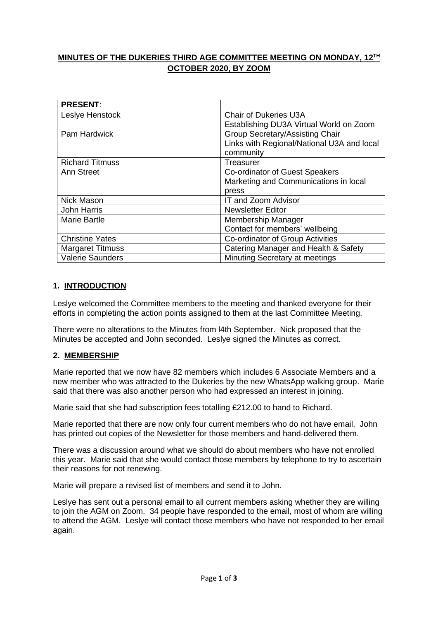# **MINUTES OF THE DUKERIES THIRD AGE COMMITTEE MEETING ON MONDAY, 12TH OCTOBER 2020, BY ZOOM**

| <b>PRESENT:</b>         |                                            |
|-------------------------|--------------------------------------------|
| Leslye Henstock         | Chair of Dukeries U3A                      |
|                         | Establishing DU3A Virtual World on Zoom    |
| Pam Hardwick            | <b>Group Secretary/Assisting Chair</b>     |
|                         | Links with Regional/National U3A and local |
|                         | community                                  |
| <b>Richard Titmuss</b>  | Treasurer                                  |
| Ann Street              | Co-ordinator of Guest Speakers             |
|                         | Marketing and Communications in local      |
|                         | press                                      |
| Nick Mason              | <b>IT and Zoom Advisor</b>                 |
| <b>John Harris</b>      | <b>Newsletter Editor</b>                   |
| <b>Marie Bartle</b>     | Membership Manager                         |
|                         | Contact for members' wellbeing             |
| <b>Christine Yates</b>  | Co-ordinator of Group Activities           |
| <b>Margaret Titmuss</b> | Catering Manager and Health & Safety       |
| <b>Valerie Saunders</b> | Minuting Secretary at meetings             |

## **1. INTRODUCTION**

Leslye welcomed the Committee members to the meeting and thanked everyone for their efforts in completing the action points assigned to them at the last Committee Meeting.

There were no alterations to the Minutes from l4th September. Nick proposed that the Minutes be accepted and John seconded. Leslye signed the Minutes as correct.

## **2. MEMBERSHIP**

Marie reported that we now have 82 members which includes 6 Associate Members and a new member who was attracted to the Dukeries by the new WhatsApp walking group. Marie said that there was also another person who had expressed an interest in joining.

Marie said that she had subscription fees totalling £212.00 to hand to Richard.

Marie reported that there are now only four current members who do not have email. John has printed out copies of the Newsletter for those members and hand-delivered them.

There was a discussion around what we should do about members who have not enrolled this year. Marie said that she would contact those members by telephone to try to ascertain their reasons for not renewing.

Marie will prepare a revised list of members and send it to John.

Leslye has sent out a personal email to all current members asking whether they are willing to join the AGM on Zoom. 34 people have responded to the email, most of whom are willing to attend the AGM. Leslye will contact those members who have not responded to her email again.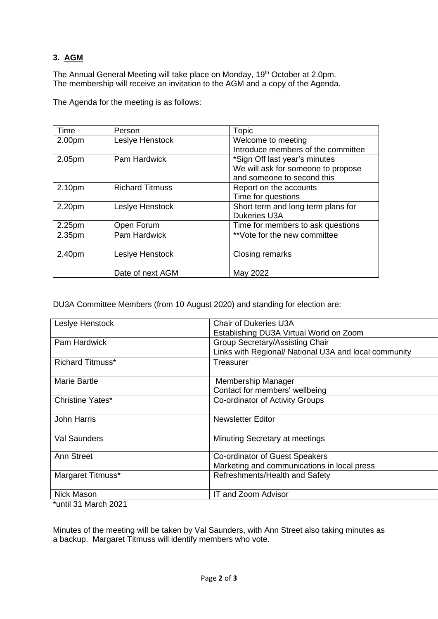# **3. AGM**

The Annual General Meeting will take place on Monday, 19<sup>th</sup> October at 2.0pm. The membership will receive an invitation to the AGM and a copy of the Agenda.

| Time   | Person          | Topic                              |
|--------|-----------------|------------------------------------|
| 2.00pm | Leslye Henstock | Welcome to meeting                 |
|        |                 | Introduce members of the committee |
| 2.05pm | Pam Hardwick    | *Sign Off last year's minutes      |

2.40pm Leslye Henstock Closing remarks

2.10pm Richard Titmuss Report on the accounts

2.20pm Leslye Henstock Short term and long term plans for

2.25pm Open Forum Time for members to ask questions

2.35pm Pam Hardwick  $*$  vote for the new committee

The Agenda for the meeting is as follows:

| DU3A Committee Members (from 10 August 2020) and standing for election are: |  |  |  |  |  |
|-----------------------------------------------------------------------------|--|--|--|--|--|
|                                                                             |  |  |  |  |  |
|                                                                             |  |  |  |  |  |

Date of next AGM May 2022

| Leslye Henstock                     | <b>Chair of Dukeries U3A</b>                          |
|-------------------------------------|-------------------------------------------------------|
|                                     | Establishing DU3A Virtual World on Zoom               |
| Pam Hardwick                        | <b>Group Secretary/Assisting Chair</b>                |
|                                     | Links with Regional/ National U3A and local community |
| <b>Richard Titmuss*</b>             | Treasurer                                             |
|                                     |                                                       |
| Marie Bartle                        | Membership Manager                                    |
|                                     | Contact for members' wellbeing                        |
| Christine Yates*                    | Co-ordinator of Activity Groups                       |
|                                     |                                                       |
| <b>John Harris</b>                  | <b>Newsletter Editor</b>                              |
|                                     |                                                       |
| <b>Val Saunders</b>                 | Minuting Secretary at meetings                        |
|                                     |                                                       |
| Ann Street                          | Co-ordinator of Guest Speakers                        |
|                                     | Marketing and communications in local press           |
| Margaret Titmuss*                   | Refreshments/Health and Safety                        |
|                                     |                                                       |
| Nick Mason                          | IT and Zoom Advisor                                   |
| $\cdots$ $\cdots$ $\cdots$ $\cdots$ |                                                       |

We will ask for someone to propose

and someone to second this

Time for questions

Dukeries U3A

\*until 31 March 2021

Minutes of the meeting will be taken by Val Saunders, with Ann Street also taking minutes as a backup. Margaret Titmuss will identify members who vote.